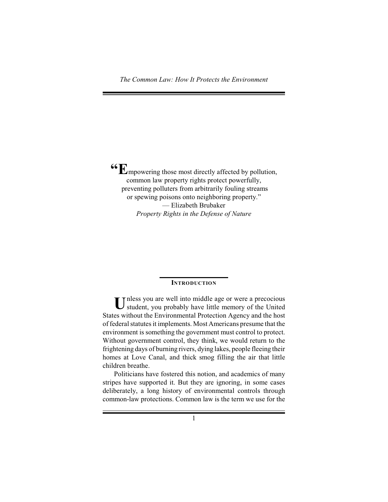**"CE**mpowering those most directly affected by pollution, common law property rights protect powerfully, preventing polluters from arbitrarily fouling streams or spewing poisons onto neighboring property." — Elizabeth Brubaker *Property Rights in the Defense of Nature*

### **INTRODUCTION**

Unless you are well into middle age or were a precocious<br>student, you probably have little memory of the United student, you probably have little memory of the United States without the Environmental Protection Agency and the host of federal statutes it implements. Most Americans presume that the environment is something the government must control to protect. Without government control, they think, we would return to the frightening days of burning rivers, dying lakes, people fleeing their homes at Love Canal, and thick smog filling the air that little children breathe.

Politicians have fostered this notion, and academics of many stripes have supported it. But they are ignoring, in some cases deliberately, a long history of environmental controls through common-law protections. Common law is the term we use for the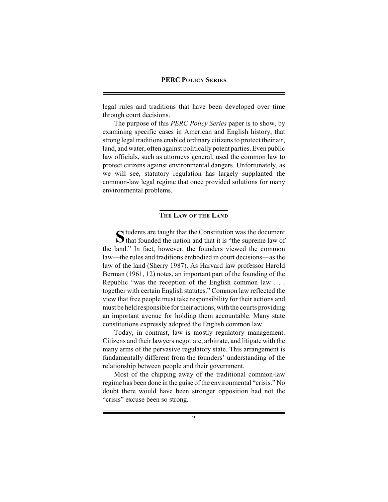legal rules and traditions that have been developed over time through court decisions.

The purpose of this *PERC Policy Series* paper is to show, by examining specific cases in American and English history, that strong legal traditions enabled ordinary citizens to protect their air, land, and water, often against politically potent parties. Even public law officials, such as attorneys general, used the common law to protect citizens against environmental dangers. Unfortunately, as we will see, statutory regulation has largely supplanted the common-law legal regime that once provided solutions for many environmental problems.

## **THE LAW OF THE LAND**

Sudents are taught that the Constitution was the document<br>
Subthat founded the nation and that it is "the supreme law of that founded the nation and that it is "the supreme law of the land." In fact, however, the founders viewed the common law—the rules and traditions embodied in court decisions—as the law of the land (Sherry 1987). As Harvard law professor Harold Berman (1961, 12) notes, an important part of the founding of the Republic "was the reception of the English common law . . . together with certain English statutes." Common law reflected the view that free people must take responsibility for their actions and must be held responsible for their actions, with the courts providing an important avenue for holding them accountable. Many state constitutions expressly adopted the English common law.

Today, in contrast, law is mostly regulatory management. Citizens and their lawyers negotiate, arbitrate, and litigate with the many arms of the pervasive regulatory state. This arrangement is fundamentally different from the founders' understanding of the relationship between people and their government.

Most of the chipping away of the traditional common-law regime has been done in the guise of the environmental "crisis." No doubt there would have been stronger opposition had not the "crisis" excuse been so strong.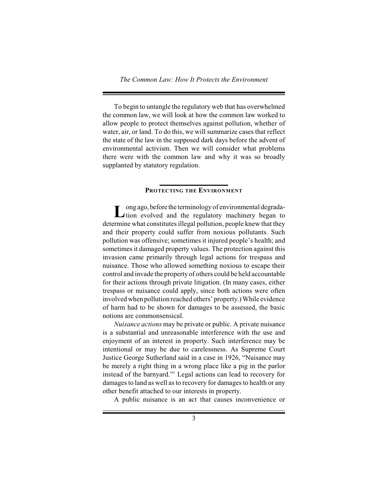To begin to untangle the regulatory web that has overwhelmed the common law, we will look at how the common law worked to allow people to protect themselves against pollution, whether of water, air, or land. To do this, we will summarize cases that reflect the state of the law in the supposed dark days before the advent of environmental activism. Then we will consider what problems there were with the common law and why it was so broadly supplanted by statutory regulation.

#### **PROTECTING THE ENVIRONMENT**

Lettion evolved and the regulatory machinery began to the regulatory machinery began to ong ago, before the terminology of environmental degradadetermine what constitutes illegal pollution, people knew that they and their property could suffer from noxious pollutants. Such pollution was offensive; sometimes it injured people's health; and sometimes it damaged property values. The protection against this invasion came primarily through legal actions for trespass and nuisance. Those who allowed something noxious to escape their control and invade the property of others could be held accountable for their actions through private litigation. (In many cases, either trespass or nuisance could apply, since both actions were often involved when pollution reached others' property.) While evidence of harm had to be shown for damages to be assessed, the basic notions are commonsensical.

*Nuisance actions* may be private or public. A private nuisance is a substantial and unreasonable interference with the use and enjoyment of an interest in property. Such interference may be intentional or may be due to carelessness. As Supreme Court Justice George Sutherland said in a case in 1926, "Nuisance may be merely a right thing in a wrong place like a pig in the parlor instead of the barnyard."<sup>1</sup> Legal actions can lead to recovery for damages to land as well as to recovery for damages to health or any other benefit attached to our interests in property.

A public nuisance is an act that causes inconvenience or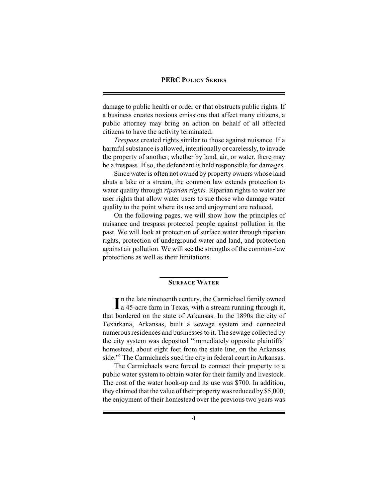damage to public health or order or that obstructs public rights. If a business creates noxious emissions that affect many citizens, a public attorney may bring an action on behalf of all affected citizens to have the activity terminated.

*Trespass* created rights similar to those against nuisance. If a harmful substance is allowed, intentionally or carelessly, to invade the property of another, whether by land, air, or water, there may be a trespass. If so, the defendant is held responsible for damages.

Since water is often not owned by property owners whose land abuts a lake or a stream, the common law extends protection to water quality through *riparian rights.* Riparian rights to water are user rights that allow water users to sue those who damage water quality to the point where its use and enjoyment are reduced.

On the following pages, we will show how the principles of nuisance and trespass protected people against pollution in the past. We will look at protection of surface water through riparian rights, protection of underground water and land, and protection against air pollution. We will see the strengths of the common-law protections as well as their limitations.

### **SURFACE WATER**

In the late nineteenth century, the Carmichael family owned<br> **I** a 45-acre farm in Texas, with a stream running through it, n the late nineteenth century, the Carmichael family owned that bordered on the state of Arkansas. In the 1890s the city of Texarkana, Arkansas, built a sewage system and connected numerous residences and businesses to it. The sewage collected by the city system was deposited "immediately opposite plaintiffs' homestead, about eight feet from the state line, on the Arkansas side."<sup>2</sup> The Carmichaels sued the city in federal court in Arkansas.

The Carmichaels were forced to connect their property to a public water system to obtain water for their family and livestock. The cost of the water hook-up and its use was \$700. In addition, they claimed that the value of their property was reduced by \$5,000; the enjoyment of their homestead over the previous two years was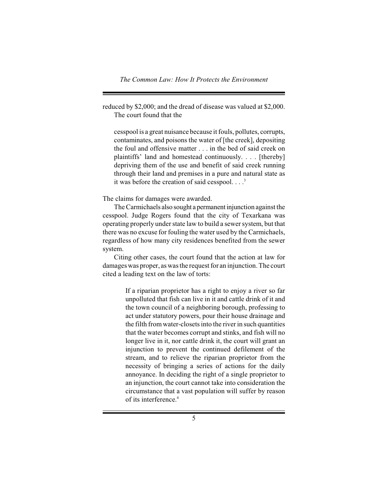reduced by \$2,000; and the dread of disease was valued at \$2,000. The court found that the

cesspool is a great nuisance because it fouls, pollutes, corrupts, contaminates, and poisons the water of [the creek], depositing the foul and offensive matter . . . in the bed of said creek on plaintiffs' land and homestead continuously. . . . [thereby] depriving them of the use and benefit of said creek running through their land and premises in a pure and natural state as it was before the creation of said cesspool. . . . 3

The claims for damages were awarded.

The Carmichaels also sought a permanent injunction against the cesspool. Judge Rogers found that the city of Texarkana was operating properly under state law to build a sewer system, but that there was no excuse for fouling the water used by the Carmichaels, regardless of how many city residences benefited from the sewer system.

Citing other cases, the court found that the action at law for damages was proper, as was the request for an injunction. The court cited a leading text on the law of torts:

> If a riparian proprietor has a right to enjoy a river so far unpolluted that fish can live in it and cattle drink of it and the town council of a neighboring borough, professing to act under statutory powers, pour their house drainage and the filth from water-closets into the river in such quantities that the water becomes corrupt and stinks, and fish will no longer live in it, nor cattle drink it, the court will grant an injunction to prevent the continued defilement of the stream, and to relieve the riparian proprietor from the necessity of bringing a series of actions for the daily annoyance. In deciding the right of a single proprietor to an injunction, the court cannot take into consideration the circumstance that a vast population will suffer by reason of its interference. 4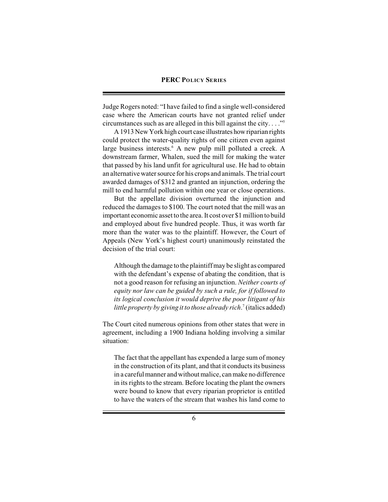Judge Rogers noted: "I have failed to find a single well-considered case where the American courts have not granted relief under circumstances such as are alleged in this bill against the city. . . ." 5

A 1913 New York high court case illustrates how riparian rights could protect the water-quality rights of one citizen even against large business interests. $6$  A new pulp mill polluted a creek. A downstream farmer, Whalen, sued the mill for making the water that passed by his land unfit for agricultural use. He had to obtain an alternative water source for his crops and animals. The trial court awarded damages of \$312 and granted an injunction, ordering the mill to end harmful pollution within one year or close operations.

But the appellate division overturned the injunction and reduced the damages to \$100. The court noted that the mill was an important economic asset to the area. It cost over \$1 million to build and employed about five hundred people. Thus, it was worth far more than the water was to the plaintiff. However, the Court of Appeals (New York's highest court) unanimously reinstated the decision of the trial court:

Although the damage to the plaintiff may be slight as compared with the defendant's expense of abating the condition, that is not a good reason for refusing an injunction. *Neither courts of equity nor law can be guided by such a rule, for if followed to its logical conclusion it would deprive the poor litigant of his* little property by giving it to those already rich.<sup>7</sup> (italics added)

The Court cited numerous opinions from other states that were in agreement, including a 1900 Indiana holding involving a similar situation:

The fact that the appellant has expended a large sum of money in the construction of its plant, and that it conducts its business in a careful manner and without malice, can make no difference in its rights to the stream. Before locating the plant the owners were bound to know that every riparian proprietor is entitled to have the waters of the stream that washes his land come to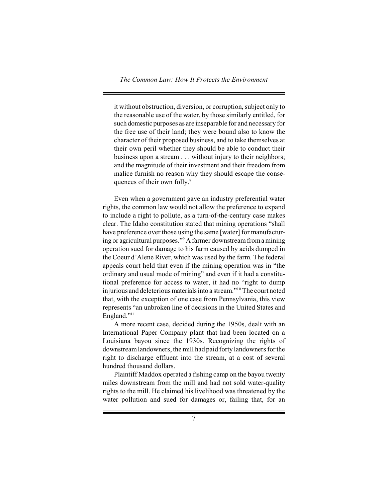it without obstruction, diversion, or corruption, subject only to the reasonable use of the water, by those similarly entitled, for such domestic purposes as are inseparable for and necessary for the free use of their land; they were bound also to know the character of their proposed business, and to take themselves at their own peril whether they should be able to conduct their business upon a stream . . . without injury to their neighbors; and the magnitude of their investment and their freedom from malice furnish no reason why they should escape the consequences of their own folly.<sup>8</sup>

Even when a government gave an industry preferential water rights, the common law would not allow the preference to expand to include a right to pollute, as a turn-of-the-century case makes clear. The Idaho constitution stated that mining operations "shall have preference over those using the same [water] for manufacturing or agricultural purposes."<sup>9</sup> A farmer downstream from a mining operation sued for damage to his farm caused by acids dumped in the Coeur d'Alene River, which was used by the farm. The federal appeals court held that even if the mining operation was in "the ordinary and usual mode of mining" and even if it had a constitutional preference for access to water, it had no "right to dump injurious and deleterious materials into a stream."<sup>10</sup> The court noted that, with the exception of one case from Pennsylvania, this view represents "an unbroken line of decisions in the United States and England."<sup>11</sup>

A more recent case, decided during the 1950s, dealt with an International Paper Company plant that had been located on a Louisiana bayou since the 1930s. Recognizing the rights of downstream landowners, the mill had paid forty landowners for the right to discharge effluent into the stream, at a cost of several hundred thousand dollars.

Plaintiff Maddox operated a fishing camp on the bayou twenty miles downstream from the mill and had not sold water-quality rights to the mill. He claimed his livelihood was threatened by the water pollution and sued for damages or, failing that, for an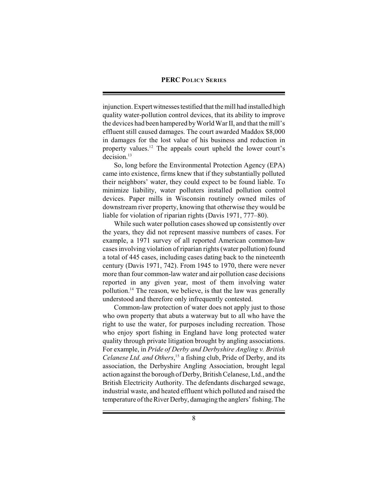injunction. Expert witnesses testified that the mill had installed high quality water-pollution control devices, that its ability to improve the devices had been hampered byWorld War II, and that the mill's effluent still caused damages. The court awarded Maddox \$8,000 in damages for the lost value of his business and reduction in property values.<sup>12</sup> The appeals court upheld the lower court's decision. 13

So, long before the Environmental Protection Agency (EPA) came into existence, firms knew that if they substantially polluted their neighbors' water, they could expect to be found liable. To minimize liability, water polluters installed pollution control devices. Paper mills in Wisconsin routinely owned miles of downstream river property, knowing that otherwise they would be liable for violation of riparian rights (Davis 1971, 777–80).

While such water pollution cases showed up consistently over the years, they did not represent massive numbers of cases. For example, a 1971 survey of all reported American common-law cases involving violation of riparian rights (water pollution) found a total of 445 cases, including cases dating back to the nineteenth century (Davis 1971, 742). From 1945 to 1970, there were never more than four common-law water and air pollution case decisions reported in any given year, most of them involving water pollution.<sup>14</sup> The reason, we believe, is that the law was generally understood and therefore only infrequently contested.

Common-law protection of water does not apply just to those who own property that abuts a waterway but to all who have the right to use the water, for purposes including recreation. Those who enjoy sport fishing in England have long protected water quality through private litigation brought by angling associations. For example, in *Pride of Derby and Derbyshire Angling v. British* Celanese Ltd. and Others,<sup>15</sup> a fishing club, Pride of Derby, and its association, the Derbyshire Angling Association, brought legal action against the borough of Derby, British Celanese, Ltd., and the British Electricity Authority. The defendants discharged sewage, industrial waste, and heated effluent which polluted and raised the temperature of the River Derby, damaging the anglers' fishing. The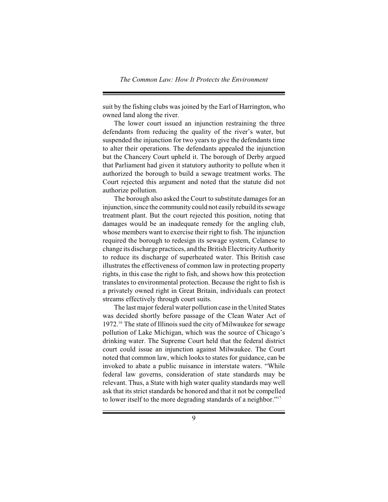suit by the fishing clubs was joined by the Earl of Harrington, who owned land along the river.

The lower court issued an injunction restraining the three defendants from reducing the quality of the river's water, but suspended the injunction for two years to give the defendants time to alter their operations. The defendants appealed the injunction but the Chancery Court upheld it. The borough of Derby argued that Parliament had given it statutory authority to pollute when it authorized the borough to build a sewage treatment works. The Court rejected this argument and noted that the statute did not authorize pollution.

The borough also asked the Court to substitute damages for an injunction, since the community could not easily rebuild its sewage treatment plant. But the court rejected this position, noting that damages would be an inadequate remedy for the angling club, whose members want to exercise their right to fish. The injunction required the borough to redesign its sewage system, Celanese to change its discharge practices, and the British Electricity Authority to reduce its discharge of superheated water. This British case illustrates the effectiveness of common law in protecting property rights, in this case the right to fish, and shows how this protection translates to environmental protection. Because the right to fish is a privately owned right in Great Britain, individuals can protect streams effectively through court suits.

The last major federal water pollution case in the United States was decided shortly before passage of the Clean Water Act of  $1972<sup>16</sup>$  The state of Illinois sued the city of Milwaukee for sewage pollution of Lake Michigan, which was the source of Chicago's drinking water. The Supreme Court held that the federal district court could issue an injunction against Milwaukee. The Court noted that common law, which looks to states for guidance, can be invoked to abate a public nuisance in interstate waters. "While federal law governs, consideration of state standards may be relevant. Thus, a State with high water quality standards may well ask that its strict standards be honored and that it not be compelled to lower itself to the more degrading standards of a neighbor."<sup>17</sup>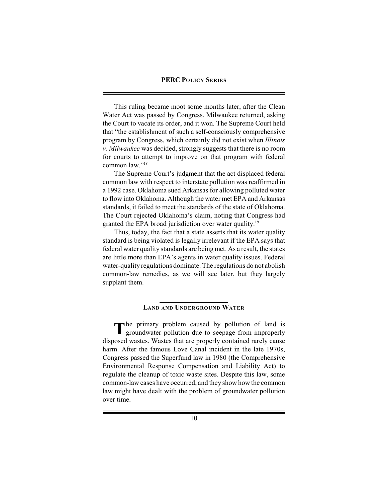This ruling became moot some months later, after the Clean Water Act was passed by Congress. Milwaukee returned, asking the Court to vacate its order, and it won. The Supreme Court held that "the establishment of such a self-consciously comprehensive program by Congress, which certainly did not exist when *Illinois v. Milwaukee* was decided, strongly suggests that there is no room for courts to attempt to improve on that program with federal common law." 18

The Supreme Court's judgment that the act displaced federal common law with respect to interstate pollution was reaffirmed in a 1992 case. Oklahoma sued Arkansas for allowing polluted water to flow into Oklahoma. Although the water met EPA and Arkansas standards, it failed to meet the standards of the state of Oklahoma. The Court rejected Oklahoma's claim, noting that Congress had granted the EPA broad jurisdiction over water quality.<sup>19</sup>

Thus, today, the fact that a state asserts that its water quality standard is being violated is legally irrelevant if the EPA says that federal water quality standards are being met. As a result, the states are little more than EPA's agents in water quality issues. Federal water-quality regulations dominate. The regulations do not abolish common-law remedies, as we will see later, but they largely supplant them.

# **LAND AND UNDERGROUND WATER**

The primary problem caused by pollution of land is groundwater pollution due to seepage from improperly groundwater pollution due to seepage from improperly disposed wastes. Wastes that are properly contained rarely cause harm. After the famous Love Canal incident in the late 1970s, Congress passed the Superfund law in 1980 (the Comprehensive Environmental Response Compensation and Liability Act) to regulate the cleanup of toxic waste sites. Despite this law, some common-law cases have occurred, and they show how the common law might have dealt with the problem of groundwater pollution over time.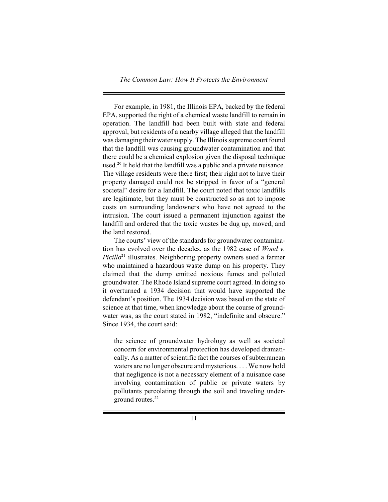*The Common Law: How It Protects the Environment*

For example, in 1981, the Illinois EPA, backed by the federal EPA, supported the right of a chemical waste landfill to remain in operation. The landfill had been built with state and federal approval, but residents of a nearby village alleged that the landfill was damaging their water supply. The Illinois supreme court found that the landfill was causing groundwater contamination and that there could be a chemical explosion given the disposal technique used.<sup>20</sup> It held that the landfill was a public and a private nuisance. The village residents were there first; their right not to have their property damaged could not be stripped in favor of a "general societal" desire for a landfill. The court noted that toxic landfills are legitimate, but they must be constructed so as not to impose costs on surrounding landowners who have not agreed to the intrusion. The court issued a permanent injunction against the landfill and ordered that the toxic wastes be dug up, moved, and the land restored.

The courts' view of the standards for groundwater contamination has evolved over the decades, as the 1982 case of *Wood v.*  $Picillo<sup>21</sup>$  illustrates. Neighboring property owners sued a farmer who maintained a hazardous waste dump on his property. They claimed that the dump emitted noxious fumes and polluted groundwater. The Rhode Island supreme court agreed. In doing so it overturned a 1934 decision that would have supported the defendant's position. The 1934 decision was based on the state of science at that time, when knowledge about the course of groundwater was, as the court stated in 1982, "indefinite and obscure." Since 1934, the court said:

the science of groundwater hydrology as well as societal concern for environmental protection has developed dramatically. As a matter of scientific fact the courses of subterranean waters are no longer obscure and mysterious. . . . We now hold that negligence is not a necessary element of a nuisance case involving contamination of public or private waters by pollutants percolating through the soil and traveling underground routes.<sup>22</sup>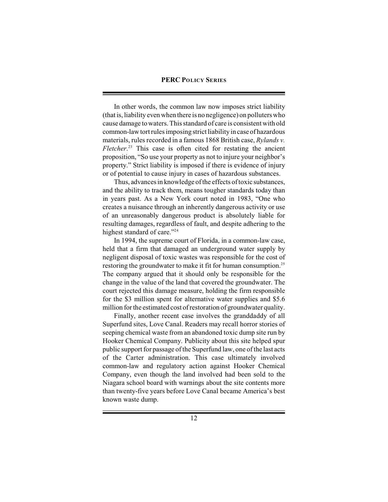In other words, the common law now imposes strict liability (that is, liability even when there is no negligence) on polluters who cause damage to waters. This standard of care is consistent with old common-law tort rules imposing strict liability in case of hazardous materials, rules recorded in a famous 1868 British case, *Rylands v. Fletcher*<sup>23</sup> This case is often cited for restating the ancient proposition, "So use your property as not to injure your neighbor's property." Strict liability is imposed if there is evidence of injury or of potential to cause injury in cases of hazardous substances.

Thus, advances in knowledge of the effects of toxic substances, and the ability to track them, means tougher standards today than in years past. As a New York court noted in 1983, "One who creates a nuisance through an inherently dangerous activity or use of an unreasonably dangerous product is absolutely liable for resulting damages, regardless of fault, and despite adhering to the highest standard of care."<sup>24</sup>

In 1994, the supreme court of Florida, in a common-law case, held that a firm that damaged an underground water supply by negligent disposal of toxic wastes was responsible for the cost of restoring the groundwater to make it fit for human consumption.<sup>25</sup> The company argued that it should only be responsible for the change in the value of the land that covered the groundwater. The court rejected this damage measure, holding the firm responsible for the \$3 million spent for alternative water supplies and \$5.6 million for the estimated cost of restoration of groundwater quality.

Finally, another recent case involves the granddaddy of all Superfund sites, Love Canal. Readers may recall horror stories of seeping chemical waste from an abandoned toxic dump site run by Hooker Chemical Company. Publicity about this site helped spur public support for passage of the Superfund law, one of the last acts of the Carter administration. This case ultimately involved common-law and regulatory action against Hooker Chemical Company, even though the land involved had been sold to the Niagara school board with warnings about the site contents more than twenty-five years before Love Canal became America's best known waste dump.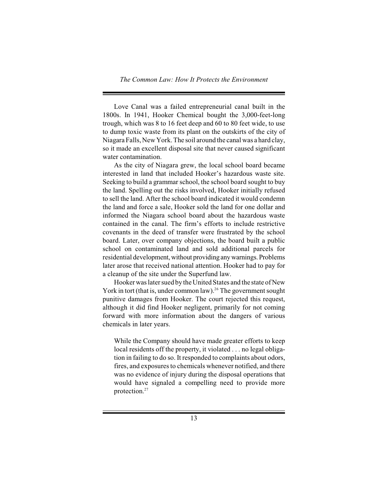Love Canal was a failed entrepreneurial canal built in the 1800s. In 1941, Hooker Chemical bought the 3,000-feet-long trough, which was 8 to 16 feet deep and 60 to 80 feet wide, to use to dump toxic waste from its plant on the outskirts of the city of Niagara Falls, New York. The soil around the canal was a hard clay, so it made an excellent disposal site that never caused significant water contamination.

As the city of Niagara grew, the local school board became interested in land that included Hooker's hazardous waste site. Seeking to build a grammar school, the school board sought to buy the land. Spelling out the risks involved, Hooker initially refused to sell the land. After the school board indicated it would condemn the land and force a sale, Hooker sold the land for one dollar and informed the Niagara school board about the hazardous waste contained in the canal. The firm's efforts to include restrictive covenants in the deed of transfer were frustrated by the school board. Later, over company objections, the board built a public school on contaminated land and sold additional parcels for residential development, without providing any warnings. Problems later arose that received national attention. Hooker had to pay for a cleanup of the site under the Superfund law.

Hooker was later sued by the United States and the state of New York in tort (that is, under common law).<sup>26</sup> The government sought punitive damages from Hooker. The court rejected this request, although it did find Hooker negligent, primarily for not coming forward with more information about the dangers of various chemicals in later years.

While the Company should have made greater efforts to keep local residents off the property, it violated . . . no legal obligation in failing to do so. It responded to complaints about odors, fires, and exposures to chemicals whenever notified, and there was no evidence of injury during the disposal operations that would have signaled a compelling need to provide more protection. 27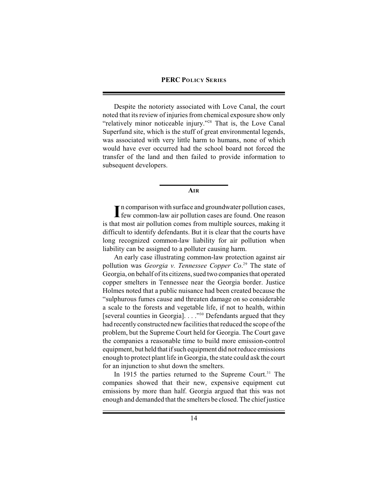Despite the notoriety associated with Love Canal, the court noted that its review of injuries from chemical exposure show only "relatively minor noticeable injury."<sup>28</sup> That is, the Love Canal Superfund site, which is the stuff of great environmental legends, was associated with very little harm to humans, none of which would have ever occurred had the school board not forced the transfer of the land and then failed to provide information to subsequent developers.

#### **AIR**

In comparison with surface and groundwater pollution cases,<br>
few common-law air pollution cases are found. One reason n comparison with surface and groundwater pollution cases, is that most air pollution comes from multiple sources, making it difficult to identify defendants. But it is clear that the courts have long recognized common-law liability for air pollution when liability can be assigned to a polluter causing harm.

An early case illustrating common-law protection against air pollution was *Georgia v. Tennessee Copper Co.*<sup>29</sup> The state of Georgia, on behalf of its citizens, sued two companies that operated copper smelters in Tennessee near the Georgia border. Justice Holmes noted that a public nuisance had been created because the "sulphurous fumes cause and threaten damage on so considerable a scale to the forests and vegetable life, if not to health, within [several counties in Georgia]. . . . "<sup>30</sup> Defendants argued that they had recently constructed new facilities that reduced the scope of the problem, but the Supreme Court held for Georgia. The Court gave the companies a reasonable time to build more emission-control equipment, but held that if such equipment did not reduce emissions enough to protect plant life in Georgia, the state could ask the court for an injunction to shut down the smelters.

In 1915 the parties returned to the Supreme Court.<sup>31</sup> The companies showed that their new, expensive equipment cut emissions by more than half. Georgia argued that this was not enough and demanded that the smelters be closed. The chief justice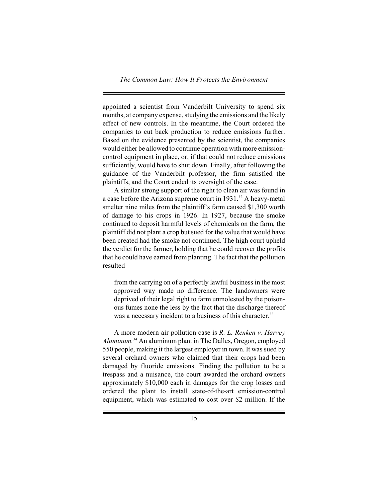appointed a scientist from Vanderbilt University to spend six months, at company expense, studying the emissions and the likely effect of new controls. In the meantime, the Court ordered the companies to cut back production to reduce emissions further. Based on the evidence presented by the scientist, the companies would either be allowed to continue operation with more emissioncontrol equipment in place, or, if that could not reduce emissions sufficiently, would have to shut down. Finally, after following the guidance of the Vanderbilt professor, the firm satisfied the plaintiffs, and the Court ended its oversight of the case.

A similar strong support of the right to clean air was found in a case before the Arizona supreme court in  $1931.^{32}$  A heavy-metal smelter nine miles from the plaintiff's farm caused \$1,300 worth of damage to his crops in 1926. In 1927, because the smoke continued to deposit harmful levels of chemicals on the farm, the plaintiff did not plant a crop but sued for the value that would have been created had the smoke not continued. The high court upheld the verdict for the farmer, holding that he could recover the profits that he could have earned from planting. The fact that the pollution resulted

from the carrying on of a perfectly lawful business in the most approved way made no difference. The landowners were deprived of their legal right to farm unmolested by the poisonous fumes none the less by the fact that the discharge thereof was a necessary incident to a business of this character.<sup>33</sup>

A more modern air pollution case is *R. L. Renken v. Harvey Aluminum.*<sup>34</sup> An aluminum plant in The Dalles, Oregon, employed 550 people, making it the largest employer in town. It was sued by several orchard owners who claimed that their crops had been damaged by fluoride emissions. Finding the pollution to be a trespass and a nuisance, the court awarded the orchard owners approximately \$10,000 each in damages for the crop losses and ordered the plant to install state-of-the-art emission-control equipment, which was estimated to cost over \$2 million. If the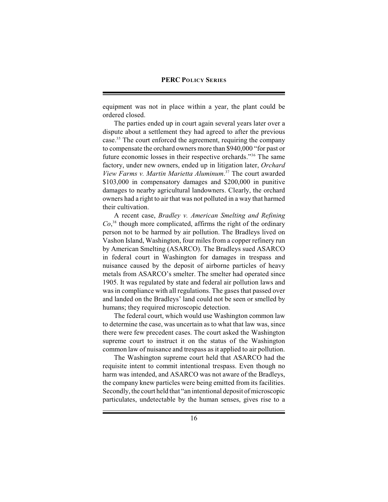equipment was not in place within a year, the plant could be ordered closed.

The parties ended up in court again several years later over a dispute about a settlement they had agreed to after the previous case.<sup>35</sup> The court enforced the agreement, requiring the company to compensate the orchard owners more than \$940,000 "for past or future economic losses in their respective orchards."<sup>36</sup> The same factory, under new owners, ended up in litigation later, *Orchard* View Farms v. Martin Marietta Aluminum.<sup>37</sup> The court awarded \$103,000 in compensatory damages and \$200,000 in punitive damages to nearby agricultural landowners. Clearly, the orchard owners had a right to air that was not polluted in a way that harmed their cultivation.

A recent case, *Bradley v. American Smelting and Refining*  $Co<sub>38</sub>$ <sup>38</sup> though more complicated, affirms the right of the ordinary person not to be harmed by air pollution. The Bradleys lived on Vashon Island, Washington, four miles from a copper refinery run by American Smelting (ASARCO). The Bradleys sued ASARCO in federal court in Washington for damages in trespass and nuisance caused by the deposit of airborne particles of heavy metals from ASARCO's smelter. The smelter had operated since 1905. It was regulated by state and federal air pollution laws and was in compliance with all regulations. The gases that passed over and landed on the Bradleys' land could not be seen or smelled by humans; they required microscopic detection.

The federal court, which would use Washington common law to determine the case, was uncertain as to what that law was, since there were few precedent cases. The court asked the Washington supreme court to instruct it on the status of the Washington common law of nuisance and trespass as it applied to air pollution.

The Washington supreme court held that ASARCO had the requisite intent to commit intentional trespass. Even though no harm was intended, and ASARCO was not aware of the Bradleys, the company knew particles were being emitted from its facilities. Secondly, the court held that "an intentional deposit of microscopic particulates, undetectable by the human senses, gives rise to a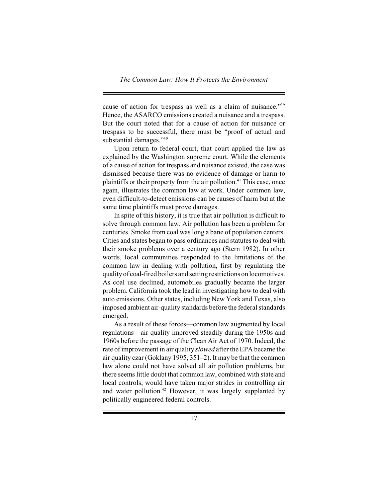cause of action for trespass as well as a claim of nuisance."<sup>39</sup> Hence, the ASARCO emissions created a nuisance and a trespass. But the court noted that for a cause of action for nuisance or trespass to be successful, there must be "proof of actual and substantial damages."<sup>40</sup>

Upon return to federal court, that court applied the law as explained by the Washington supreme court. While the elements of a cause of action for trespass and nuisance existed, the case was dismissed because there was no evidence of damage or harm to plaintiffs or their property from the air pollution.<sup> $41$ </sup> This case, once again, illustrates the common law at work. Under common law, even difficult-to-detect emissions can be causes of harm but at the same time plaintiffs must prove damages.

In spite of this history, it is true that air pollution is difficult to solve through common law. Air pollution has been a problem for centuries. Smoke from coal was long a bane of population centers. Cities and states began to pass ordinances and statutes to deal with their smoke problems over a century ago (Stern 1982). In other words, local communities responded to the limitations of the common law in dealing with pollution, first by regulating the quality of coal-fired boilers and setting restrictions on locomotives. As coal use declined, automobiles gradually became the larger problem. California took the lead in investigating how to deal with auto emissions. Other states, including New York and Texas, also imposed ambient air-quality standards before the federal standards emerged.

As a result of these forces—common law augmented by local regulations—air quality improved steadily during the 1950s and 1960s before the passage of the Clean Air Act of 1970. Indeed, the rate of improvement in air quality *slowed* after the EPA became the air quality czar (Goklany 1995, 351–2). It may be that the common law alone could not have solved all air pollution problems, but there seems little doubt that common law, combined with state and local controls, would have taken major strides in controlling air and water pollution.<sup>42</sup> However, it was largely supplanted by politically engineered federal controls.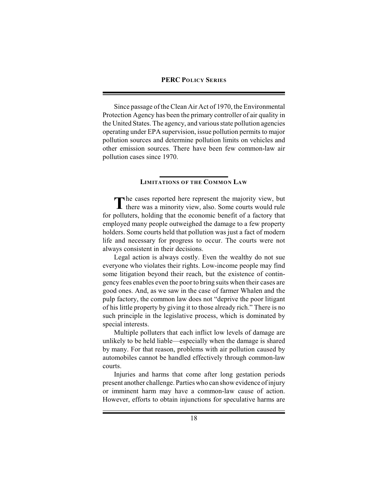Since passage of the Clean Air Act of 1970, the Environmental Protection Agency has been the primary controller of air quality in the United States. The agency, and various state pollution agencies operating under EPA supervision, issue pollution permits to major pollution sources and determine pollution limits on vehicles and other emission sources. There have been few common-law air pollution cases since 1970.

#### **LIMITATIONS OF THE COMMON LAW**

The cases reported here represent the majority view, but<br>there was a minority view, also. Some courts would rule I there was a minority view, also. Some courts would rule for polluters, holding that the economic benefit of a factory that employed many people outweighed the damage to a few property holders. Some courts held that pollution was just a fact of modern life and necessary for progress to occur. The courts were not always consistent in their decisions.

Legal action is always costly. Even the wealthy do not sue everyone who violates their rights. Low-income people may find some litigation beyond their reach, but the existence of contingency fees enables even the poorto bring suits when their cases are good ones. And, as we saw in the case of farmer Whalen and the pulp factory, the common law does not "deprive the poor litigant of his little property by giving it to those already rich." There is no such principle in the legislative process, which is dominated by special interests.

Multiple polluters that each inflict low levels of damage are unlikely to be held liable—especially when the damage is shared by many. For that reason, problems with air pollution caused by automobiles cannot be handled effectively through common-law courts.

Injuries and harms that come after long gestation periods present another challenge. Parties who can showevidence of injury or imminent harm may have a common-law cause of action. However, efforts to obtain injunctions for speculative harms are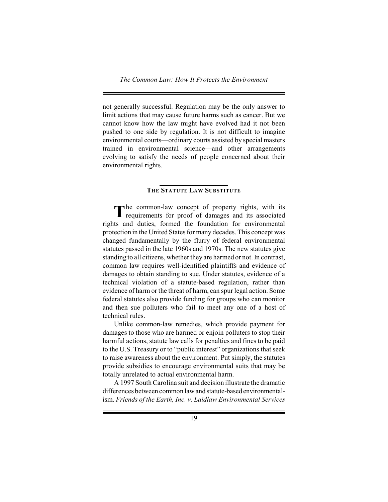not generally successful. Regulation may be the only answer to limit actions that may cause future harms such as cancer. But we cannot know how the law might have evolved had it not been pushed to one side by regulation. It is not difficult to imagine environmental courts—ordinary courts assisted by special masters trained in environmental science—and other arrangements evolving to satisfy the needs of people concerned about their environmental rights.

## **THE STATUTE LAW SUBSTITUTE**

The common-law concept of property rights, with its requirements for proof of damages and its associated  $\blacksquare$  he common-law concept of property rights, with its rights and duties, formed the foundation for environmental protection in the United States for many decades. This concept was changed fundamentally by the flurry of federal environmental statutes passed in the late 1960s and 1970s. The new statutes give standing to all citizens, whether they are harmed or not. In contrast, common law requires well-identified plaintiffs and evidence of damages to obtain standing to sue. Under statutes, evidence of a technical violation of a statute-based regulation, rather than evidence of harm or the threat of harm, can spur legal action. Some federal statutes also provide funding for groups who can monitor and then sue polluters who fail to meet any one of a host of technical rules.

Unlike common-law remedies, which provide payment for damages to those who are harmed or enjoin polluters to stop their harmful actions, statute law calls for penalties and fines to be paid to the U.S. Treasury or to "public interest" organizations that seek to raise awareness about the environment. Put simply, the statutes provide subsidies to encourage environmental suits that may be totally unrelated to actual environmental harm.

A 1997 South Carolina suit and decision illustrate the dramatic differences between common law and statute-based environmentalism. *Friends of the Earth, Inc. v. Laidlaw Environmental Services*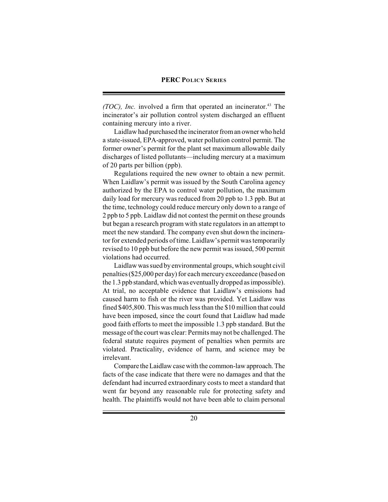*(TOC), Inc.* involved a firm that operated an incinerator.<sup>43</sup> The incinerator's air pollution control system discharged an effluent containing mercury into a river.

Laidlaw had purchased the incinerator from an owner who held a state-issued, EPA-approved, water pollution control permit. The former owner's permit for the plant set maximum allowable daily discharges of listed pollutants—including mercury at a maximum of 20 parts per billion (ppb).

Regulations required the new owner to obtain a new permit. When Laidlaw's permit was issued by the South Carolina agency authorized by the EPA to control water pollution, the maximum daily load for mercury was reduced from 20 ppb to 1.3 ppb. But at the time, technology could reduce mercury only down to a range of 2 ppb to 5 ppb. Laidlaw did not contest the permit on these grounds but began a research program with state regulators in an attempt to meet the new standard. The company even shut down the incinerator for extended periods of time. Laidlaw's permit was temporarily revised to 10 ppb but before the new permit was issued, 500 permit violations had occurred.

Laidlawwassued by environmental groups, which sought civil penalties (\$25,000 per day) for each mercury exceedance (based on the 1.3 ppb standard, which was eventually dropped as impossible). At trial, no acceptable evidence that Laidlaw's emissions had caused harm to fish or the river was provided. Yet Laidlaw was fined \$405,800. This was much less than the \$10 million that could have been imposed, since the court found that Laidlaw had made good faith efforts to meet the impossible 1.3 ppb standard. But the message of the court was clear: Permits may not be challenged. The federal statute requires payment of penalties when permits are violated. Practicality, evidence of harm, and science may be irrelevant.

Compare the Laidlaw case with the common-law approach. The facts of the case indicate that there were no damages and that the defendant had incurred extraordinary costs to meet a standard that went far beyond any reasonable rule for protecting safety and health. The plaintiffs would not have been able to claim personal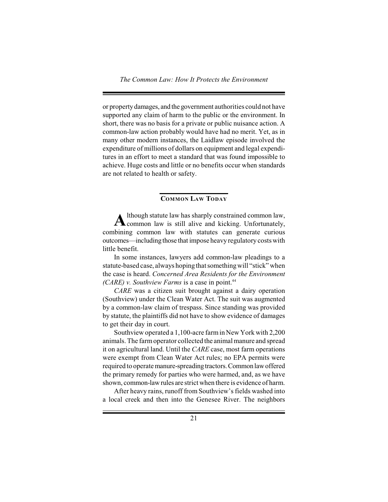or property damages, and the government authorities could not have supported any claim of harm to the public or the environment. In short, there was no basis for a private or public nuisance action. A common-law action probably would have had no merit. Yet, as in many other modern instances, the Laidlaw episode involved the expenditure of millions of dollars on equipment and legal expenditures in an effort to meet a standard that was found impossible to achieve. Huge costs and little or no benefits occur when standards are not related to health or safety.

## **COMMON LAW TODAY**

A lthough statute law has sharply constrained common law,<br> **A** common law is still alive and kicking. Unfortunately, lthough statute law has sharply constrained common law, combining common law with statutes can generate curious outcomes—including those that impose heavy regulatory costs with little benefit.

In some instances, lawyers add common-law pleadings to a statute-based case, always hoping that somethingwill "stick" when the case is heard. *Concerned Area Residents for the Environment (CARE) v. Southview Farms* is a case in point. 44

*CARE* was a citizen suit brought against a dairy operation (Southview) under the Clean Water Act. The suit was augmented by a common-law claim of trespass. Since standing was provided by statute, the plaintiffs did not have to show evidence of damages to get their day in court.

Southview operated a 1,100-acre farmin New York with 2,200 animals. The farm operator collected the animal manure and spread it on agricultural land. Until the *CARE* case, most farm operations were exempt from Clean Water Act rules; no EPA permits were required to operate manure-spreading tractors. Common law offered the primary remedy for parties who were harmed, and, as we have shown, common-law rules are strict when there is evidence of harm.

After heavy rains, runoff from Southview's fields washed into a local creek and then into the Genesee River. The neighbors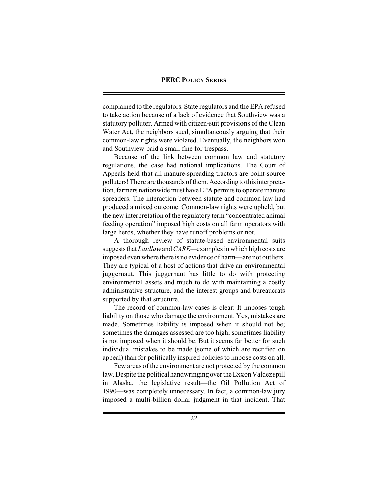complained to the regulators. State regulators and the EPA refused to take action because of a lack of evidence that Southview was a statutory polluter. Armed with citizen-suit provisions of the Clean Water Act, the neighbors sued, simultaneously arguing that their common-law rights were violated. Eventually, the neighbors won and Southview paid a small fine for trespass.

Because of the link between common law and statutory regulations, the case had national implications. The Court of Appeals held that all manure-spreading tractors are point-source polluters! There are thousands of them. According to this interpretation, farmers nationwide must have EPA permits to operate manure spreaders. The interaction between statute and common law had produced a mixed outcome. Common-law rights were upheld, but the new interpretation of the regulatory term "concentrated animal feeding operation" imposed high costs on all farm operators with large herds, whether they have runoff problems or not.

A thorough review of statute-based environmental suits suggests that *Laidlaw* and *CARE—*examples in which high costs are imposed even where there is no evidence of harm—are not outliers. They are typical of a host of actions that drive an environmental juggernaut. This juggernaut has little to do with protecting environmental assets and much to do with maintaining a costly administrative structure, and the interest groups and bureaucrats supported by that structure.

The record of common-law cases is clear: It imposes tough liability on those who damage the environment. Yes, mistakes are made. Sometimes liability is imposed when it should not be; sometimes the damages assessed are too high; sometimes liability is not imposed when it should be. But it seems far better for such individual mistakes to be made (some of which are rectified on appeal) than for politically inspired policies to impose costs on all.

Few areas of the environment are not protected by the common law. Despite the political handwringing over the Exxon Valdez spill in Alaska, the legislative result—the Oil Pollution Act of 1990—was completely unnecessary. In fact, a common-law jury imposed a multi-billion dollar judgment in that incident. That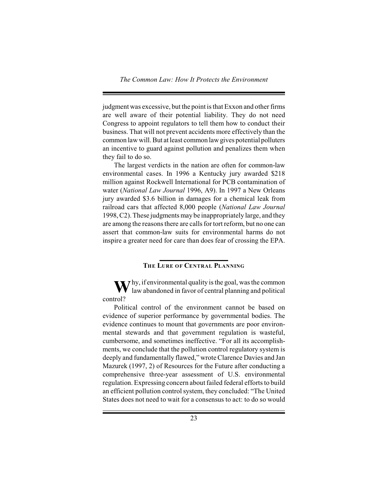judgment was excessive, but the point is that Exxon and other firms are well aware of their potential liability. They do not need Congress to appoint regulators to tell them how to conduct their business. That will not prevent accidents more effectively than the common law will. But at least common law gives potential polluters an incentive to guard against pollution and penalizes them when they fail to do so.

The largest verdicts in the nation are often for common-law environmental cases. In 1996 a Kentucky jury awarded \$218 million against Rockwell International for PCB contamination of water (*National Law Journal* 1996, A9). In 1997 a New Orleans jury awarded \$3.6 billion in damages for a chemical leak from railroad cars that affected 8,000 people (*National Law Journal* 1998, C2).These judgments may be inappropriately large, and they are among the reasons there are calls for tort reform, but no one can assert that common-law suits for environmental harms do not inspire a greater need for care than does fear of crossing the EPA.

#### **THE LURE OF CENTRAL PLANNING**

Why, if environmental quality is the goal, was the common<br>law abandoned in favor of central planning and political control?

Political control of the environment cannot be based on evidence of superior performance by governmental bodies. The evidence continues to mount that governments are poor environmental stewards and that government regulation is wasteful, cumbersome, and sometimes ineffective. "For all its accomplishments, we conclude that the pollution control regulatory system is deeply and fundamentally flawed," wrote Clarence Davies and Jan Mazurek (1997, 2) of Resources for the Future after conducting a comprehensive three-year assessment of U.S. environmental regulation. Expressing concern about failed federal efforts to build an efficient pollution control system, they concluded: "The United States does not need to wait for a consensus to act: to do so would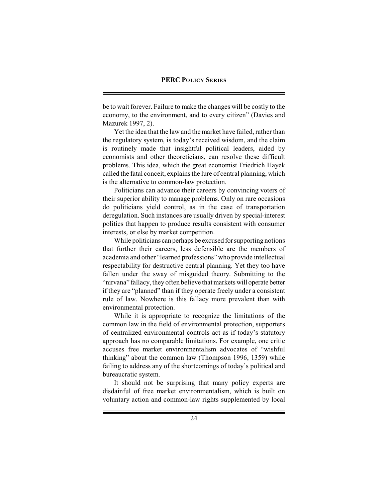be to wait forever. Failure to make the changes will be costly to the economy, to the environment, and to every citizen" (Davies and Mazurek 1997, 2).

Yet the idea that the law and the market have failed, rather than the regulatory system, is today's received wisdom, and the claim is routinely made that insightful political leaders, aided by economists and other theoreticians, can resolve these difficult problems. This idea, which the great economist Friedrich Hayek called the fatal conceit, explains the lure of central planning, which is the alternative to common-law protection.

Politicians can advance their careers by convincing voters of their superior ability to manage problems. Only on rare occasions do politicians yield control, as in the case of transportation deregulation. Such instances are usually driven by special-interest politics that happen to produce results consistent with consumer interests, or else by market competition.

While politicians can perhaps be excused for supporting notions that further their careers, less defensible are the members of academia and other "learned professions" who provide intellectual respectability for destructive central planning. Yet they too have fallen under the sway of misguided theory. Submitting to the "nirvana" fallacy, they often believe that markets will operate better if they are "planned" than if they operate freely under a consistent rule of law. Nowhere is this fallacy more prevalent than with environmental protection.

While it is appropriate to recognize the limitations of the common law in the field of environmental protection, supporters of centralized environmental controls act as if today's statutory approach has no comparable limitations. For example, one critic accuses free market environmentalism advocates of "wishful thinking" about the common law (Thompson 1996, 1359) while failing to address any of the shortcomings of today's political and bureaucratic system.

It should not be surprising that many policy experts are disdainful of free market environmentalism, which is built on voluntary action and common-law rights supplemented by local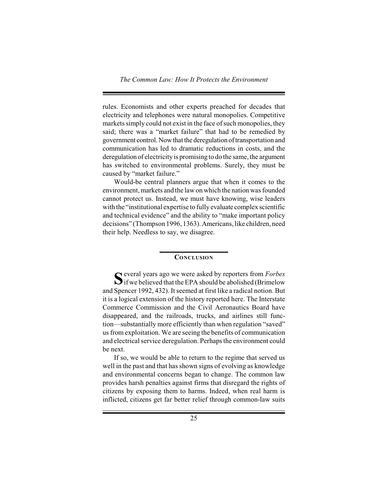rules. Economists and other experts preached for decades that electricity and telephones were natural monopolies. Competitive markets simply could not exist in the face of such monopolies, they said; there was a "market failure" that had to be remedied by government control. Now that the deregulation of transportation and communication has led to dramatic reductions in costs, and the deregulation of electricity is promising to do the same, the argument has switched to environmental problems. Surely, they must be caused by "market failure."

Would-be central planners argue that when it comes to the environment, markets and the law on which the nation was founded cannot protect us. Instead, we must have knowing, wise leaders with the "institutional expertise to fully evaluate complex scientific and technical evidence" and the ability to "make important policy decisions" (Thompson 1996, 1363). Americans, like children, need their help. Needless to say, we disagree.

### **CONCLUSION**

S everal years ago we were asked by reporters from *Forbes* if we believed that the EPA should be abolished (Brimelow if we believed that the EPA should be abolished (Brimelow and Spencer 1992, 432). It seemed at first like a radical notion. But it is a logical extension of the history reported here. The Interstate Commerce Commission and the Civil Aeronautics Board have disappeared, and the railroads, trucks, and airlines still function—substantially more efficiently than when regulation "saved" us from exploitation. We are seeing the benefits of communication and electrical service deregulation. Perhaps the environment could be next.

If so, we would be able to return to the regime that served us well in the past and that has shown signs of evolving as knowledge and environmental concerns began to change. The common law provides harsh penalties against firms that disregard the rights of citizens by exposing them to harms. Indeed, when real harm is inflicted, citizens get far better relief through common-law suits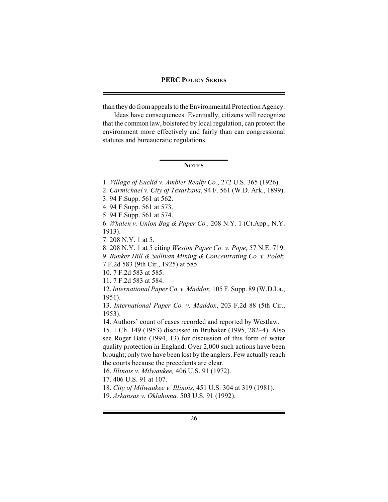than they do from appeals to the Environmental Protection Agency.

Ideas have consequences. Eventually, citizens will recognize that the common law, bolstered by local regulation, can protect the environment more effectively and fairly than can congressional statutes and bureaucratic regulations.

#### **NOTES**

1. *Village of Euclid v. Ambler Realty Co.*, 272 U.S. 365 (1926).

2. *Carmichael v. City of Texarkana*, 94 F. 561 (W.D. Ark., 1899).

- 3. 94 F.Supp. 561 at 562.
- 4. 94 F.Supp. 561 at 573.
- 5. 94 F.Supp. 561 at 574.

6. *Whalen v. Union Bag & Paper Co.,* 208 N.Y. 1 (Ct.App., N.Y. 1913).

7. 208 N.Y. 1 at 5.

8. 208 N.Y. 1 at 5 citing *Weston Paper Co. v. Pope,* 57 N.E. 719.

9. *Bunker Hill & Sullivan Mining & Concentrating Co. v. Polak,* 7 F.2d 583 (9th Cir., 1925) at 585.

10. 7 F.2d 583 at 585.

11. 7 F.2d 583 at 584.

12.*International Paper Co. v. Maddox,* 105 F. Supp. 89 (W.D.La., 1951).

13. *International Paper Co. v. Maddox*, 203 F.2d 88 (5th Cir., 1953).

14. Authors' count of cases recorded and reported by Westlaw.

15. 1 Ch. 149 (1953) discussed in Brubaker (1995, 282–4). Also see Roger Bate (1994, 13) for discussion of this form of water quality protection in England. Over 2,000 such actions have been brought; only two have been lost by the anglers. Few actually reach the courts because the precedents are clear.

16. *Illinois v. Milwaukee,* 406 U.S. 91 (1972).

17. 406 U.S. 91 at 107.

18. *City of Milwaukee v. Illinois*, 451 U.S. 304 at 319 (1981).

19. *Arkansas v. Oklahoma,* 503 U.S. 91 (1992).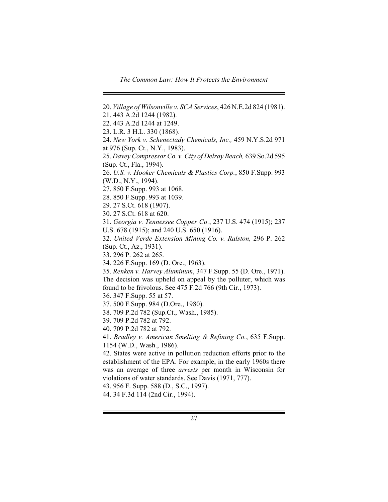20. *Village of Wilsonville v. SCA Services*, 426 N.E.2d 824 (1981). 21. 443 A.2d 1244 (1982). 22. 443 A.2d 1244 at 1249. 23. L.R. 3 H.L. 330 (1868). 24. *New York v. Schenectady Chemicals, Inc.,* 459 N.Y.S.2d 971 at 976 (Sup. Ct., N.Y., 1983). 25. *Davey Compressor Co. v. City of Delray Beach,* 639 So.2d 595 (Sup. Ct., Fla., 1994). 26. *U.S. v. Hooker Chemicals & Plastics Corp.*, 850 F.Supp. 993 (W.D., N.Y., 1994). 27. 850 F.Supp. 993 at 1068. 28. 850 F.Supp. 993 at 1039. 29. 27 S.Ct. 618 (1907). 30. 27 S.Ct. 618 at 620. 31. *Georgia v. Tennessee Copper Co.*, 237 U.S. 474 (1915); 237 U.S. 678 (1915); and 240 U.S. 650 (1916). 32. *United Verde Extension Mining Co. v. Ralston,* 296 P. 262 (Sup. Ct., Az., 1931). 33. 296 P. 262 at 265. 34. 226 F.Supp. 169 (D. Ore., 1963). 35. *Renken v. Harvey Aluminum*, 347 F.Supp. 55 (D. Ore., 1971). The decision was upheld on appeal by the polluter, which was found to be frivolous. See 475 F.2d 766 (9th Cir., 1973). 36. 347 F.Supp. 55 at 57. 37. 500 F.Supp. 984 (D.Ore., 1980). 38. 709 P.2d 782 (Sup.Ct., Wash., 1985). 39. 709 P.2d 782 at 792. 40. 709 P.2d 782 at 792. 41. *Bradley v. American Smelting & Refining Co.*, 635 F.Supp. 1154 (W.D., Wash., 1986). 42. States were active in pollution reduction efforts prior to the establishment of the EPA. For example, in the early 1960s there was an average of three *arrests* per month in Wisconsin for violations of water standards. See Davis (1971, 777). 43. 956 F. Supp. 588 (D., S.C., 1997). 44. 34 F.3d 114 (2nd Cir., 1994).